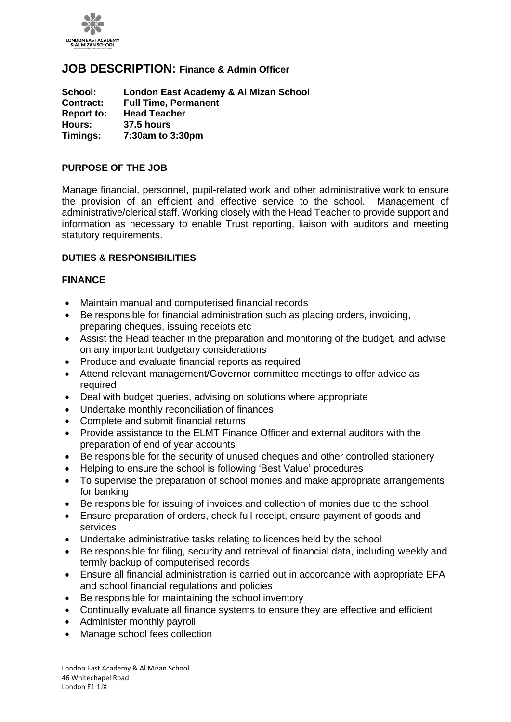

# **JOB DESCRIPTION: Finance & Admin Officer**

**School: London East Academy & Al Mizan School Contract: Full Time, Permanent Report to: Head Teacher Hours: 37.5 hours Timings: 7:30am to 3:30pm**

### **PURPOSE OF THE JOB**

Manage financial, personnel, pupil-related work and other administrative work to ensure the provision of an efficient and effective service to the school. Management of administrative/clerical staff. Working closely with the Head Teacher to provide support and information as necessary to enable Trust reporting, liaison with auditors and meeting statutory requirements.

### **DUTIES & RESPONSIBILITIES**

### **FINANCE**

- Maintain manual and computerised financial records
- Be responsible for financial administration such as placing orders, invoicing, preparing cheques, issuing receipts etc
- Assist the Head teacher in the preparation and monitoring of the budget, and advise on any important budgetary considerations
- Produce and evaluate financial reports as required
- Attend relevant management/Governor committee meetings to offer advice as required
- Deal with budget queries, advising on solutions where appropriate
- Undertake monthly reconciliation of finances
- Complete and submit financial returns
- Provide assistance to the ELMT Finance Officer and external auditors with the preparation of end of year accounts
- Be responsible for the security of unused cheques and other controlled stationery
- Helping to ensure the school is following 'Best Value' procedures
- To supervise the preparation of school monies and make appropriate arrangements for banking
- Be responsible for issuing of invoices and collection of monies due to the school
- Ensure preparation of orders, check full receipt, ensure payment of goods and services
- Undertake administrative tasks relating to licences held by the school
- Be responsible for filing, security and retrieval of financial data, including weekly and termly backup of computerised records
- Ensure all financial administration is carried out in accordance with appropriate EFA and school financial regulations and policies
- Be responsible for maintaining the school inventory
- Continually evaluate all finance systems to ensure they are effective and efficient
- Administer monthly payroll
- Manage school fees collection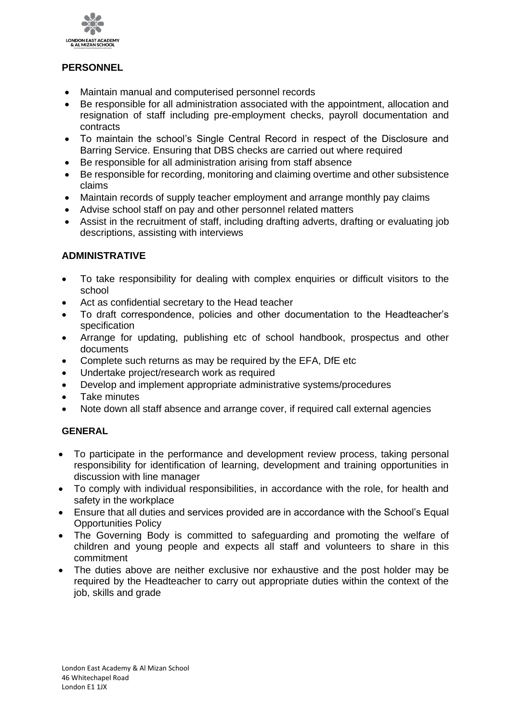

## **PERSONNEL**

- Maintain manual and computerised personnel records
- Be responsible for all administration associated with the appointment, allocation and resignation of staff including pre-employment checks, payroll documentation and contracts
- To maintain the school's Single Central Record in respect of the Disclosure and Barring Service. Ensuring that DBS checks are carried out where required
- Be responsible for all administration arising from staff absence
- Be responsible for recording, monitoring and claiming overtime and other subsistence claims
- Maintain records of supply teacher employment and arrange monthly pay claims
- Advise school staff on pay and other personnel related matters
- Assist in the recruitment of staff, including drafting adverts, drafting or evaluating job descriptions, assisting with interviews

## **ADMINISTRATIVE**

- To take responsibility for dealing with complex enquiries or difficult visitors to the school
- Act as confidential secretary to the Head teacher
- To draft correspondence, policies and other documentation to the Headteacher's specification
- Arrange for updating, publishing etc of school handbook, prospectus and other documents
- Complete such returns as may be required by the EFA, DfE etc
- Undertake project/research work as required
- Develop and implement appropriate administrative systems/procedures
- Take minutes
- Note down all staff absence and arrange cover, if required call external agencies

### **GENERAL**

- To participate in the performance and development review process, taking personal responsibility for identification of learning, development and training opportunities in discussion with line manager
- To comply with individual responsibilities, in accordance with the role, for health and safety in the workplace
- Ensure that all duties and services provided are in accordance with the School's Equal Opportunities Policy
- The Governing Body is committed to safeguarding and promoting the welfare of children and young people and expects all staff and volunteers to share in this commitment
- The duties above are neither exclusive nor exhaustive and the post holder may be required by the Headteacher to carry out appropriate duties within the context of the job, skills and grade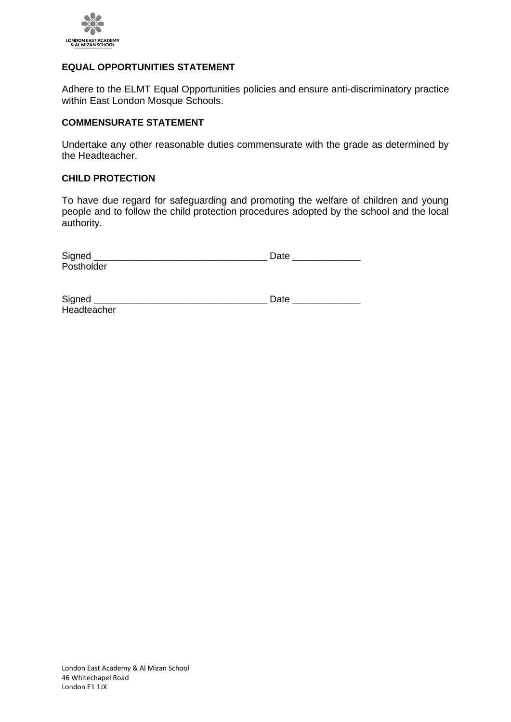

### **EQUAL OPPORTUNITIES STATEMENT**

Adhere to the ELMT Equal Opportunities policies and ensure anti-discriminatory practice within East London Mosque Schools.

#### **COMMENSURATE STATEMENT**

Undertake any other reasonable duties commensurate with the grade as determined by the Headteacher.

### **CHILD PROTECTION**

To have due regard for safeguarding and promoting the welfare of children and young people and to follow the child protection procedures adopted by the school and the local authority.

| Signed     | Date |
|------------|------|
| Postholder |      |
|            |      |

| Signed      | .Jate |
|-------------|-------|
| Headteacher |       |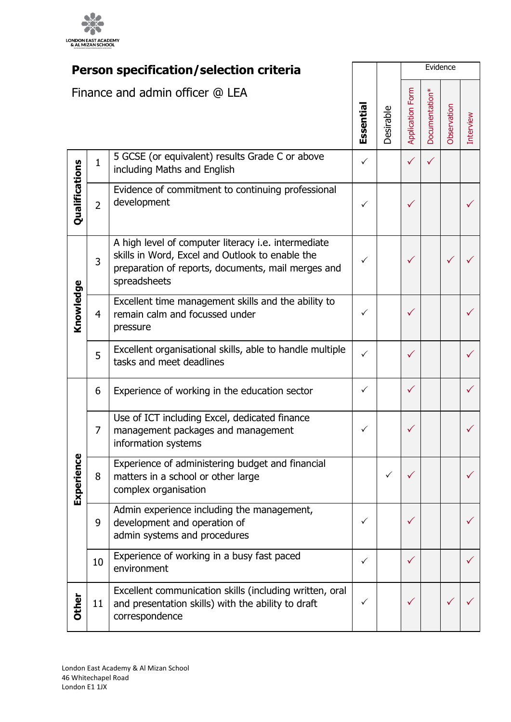

| Person specification/selection criteria |                |                                                                                                                                                                              |              | Evidence         |                |              |           |  |
|-----------------------------------------|----------------|------------------------------------------------------------------------------------------------------------------------------------------------------------------------------|--------------|------------------|----------------|--------------|-----------|--|
| Finance and admin officer @ LEA         |                | Essentia                                                                                                                                                                     | Desirable    | Application Form | Documentation* | Observation  | Interview |  |
|                                         | $\mathbf{1}$   | 5 GCSE (or equivalent) results Grade C or above<br>including Maths and English                                                                                               | $\checkmark$ |                  |                | $\checkmark$ |           |  |
| Qualifications                          | $\overline{2}$ | Evidence of commitment to continuing professional<br>development                                                                                                             | ✓            |                  |                |              |           |  |
|                                         | 3              | A high level of computer literacy i.e. intermediate<br>skills in Word, Excel and Outlook to enable the<br>preparation of reports, documents, mail merges and<br>spreadsheets | $\checkmark$ |                  | $\checkmark$   |              |           |  |
| Knowledge                               | 4              | Excellent time management skills and the ability to<br>remain calm and focussed under<br>pressure                                                                            | ✓            |                  |                |              |           |  |
|                                         | 5              | Excellent organisational skills, able to handle multiple<br>tasks and meet deadlines                                                                                         | ✓            |                  |                |              |           |  |
|                                         | 6              | Experience of working in the education sector                                                                                                                                | ✓            |                  |                |              |           |  |
|                                         | $\overline{7}$ | Use of ICT including Excel, dedicated finance<br>management packages and management<br>information systems                                                                   | $\checkmark$ |                  |                |              |           |  |
| Experience                              | 8              | Experience of administering budget and financial<br>matters in a school or other large<br>complex organisation                                                               |              | ✓                |                |              |           |  |
|                                         | 9              | Admin experience including the management,<br>development and operation of<br>admin systems and procedures                                                                   | $\checkmark$ |                  |                |              |           |  |
|                                         | 10             | Experience of working in a busy fast paced<br>environment                                                                                                                    | ✓            |                  | ✓              |              |           |  |
| <b>Other</b>                            | 11             | Excellent communication skills (including written, oral<br>and presentation skills) with the ability to draft<br>correspondence                                              | ✓            |                  |                |              |           |  |